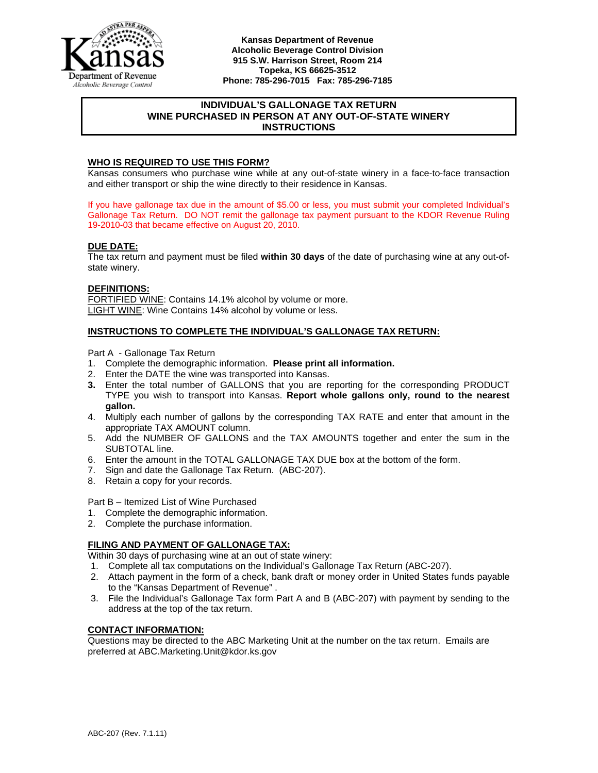

**Kansas Department of Revenue Alcoholic Beverage Control Division 915 S.W. Harrison Street, Room 214 Topeka, KS 66625-3512 Phone: 785-296-7015 Fax: 785-296-7185** 

# **INDIVIDUAL'S GALLONAGE TAX RETURN WINE PURCHASED IN PERSON AT ANY OUT-OF-STATE WINERY INSTRUCTIONS**

## **WHO IS REQUIRED TO USE THIS FORM?**

Kansas consumers who purchase wine while at any out-of-state winery in a face-to-face transaction and either transport or ship the wine directly to their residence in Kansas.

If you have gallonage tax due in the amount of \$5.00 or less, you must submit your completed Individual's Gallonage Tax Return. DO NOT remit the gallonage tax payment pursuant to the KDOR Revenue Ruling 19-2010-03 that became effective on August 20, 2010.

#### **DUE DATE:**

The tax return and payment must be filed **within 30 days** of the date of purchasing wine at any out-ofstate winery.

#### **DEFINITIONS:**

FORTIFIED WINE: Contains 14.1% alcohol by volume or more. LIGHT WINE: Wine Contains 14% alcohol by volume or less.

#### **INSTRUCTIONS TO COMPLETE THE INDIVIDUAL'S GALLONAGE TAX RETURN:**

Part A - Gallonage Tax Return

- 1. Complete the demographic information. **Please print all information.**
- 2. Enter the DATE the wine was transported into Kansas.
- **3.** Enter the total number of GALLONS that you are reporting for the corresponding PRODUCT TYPE you wish to transport into Kansas. **Report whole gallons only, round to the nearest gallon.**
- 4. Multiply each number of gallons by the corresponding TAX RATE and enter that amount in the appropriate TAX AMOUNT column.
- 5. Add the NUMBER OF GALLONS and the TAX AMOUNTS together and enter the sum in the SUBTOTAL line.
- 6. Enter the amount in the TOTAL GALLONAGE TAX DUE box at the bottom of the form.
- 7. Sign and date the Gallonage Tax Return. (ABC-207).
- 8. Retain a copy for your records.

Part B – Itemized List of Wine Purchased

- 1. Complete the demographic information.
- 2. Complete the purchase information.

## **FILING AND PAYMENT OF GALLONAGE TAX:**

Within 30 days of purchasing wine at an out of state winery:

- 1. Complete all tax computations on the Individual's Gallonage Tax Return (ABC-207).
- 2. Attach payment in the form of a check, bank draft or money order in United States funds payable to the "Kansas Department of Revenue" .
- 3. File the Individual's Gallonage Tax form Part A and B (ABC-207) with payment by sending to the address at the top of the tax return.

## **CONTACT INFORMATION:**

Questions may be directed to the ABC Marketing Unit at the number on the tax return. Emails are preferred at ABC.Marketing.Unit@kdor.ks.gov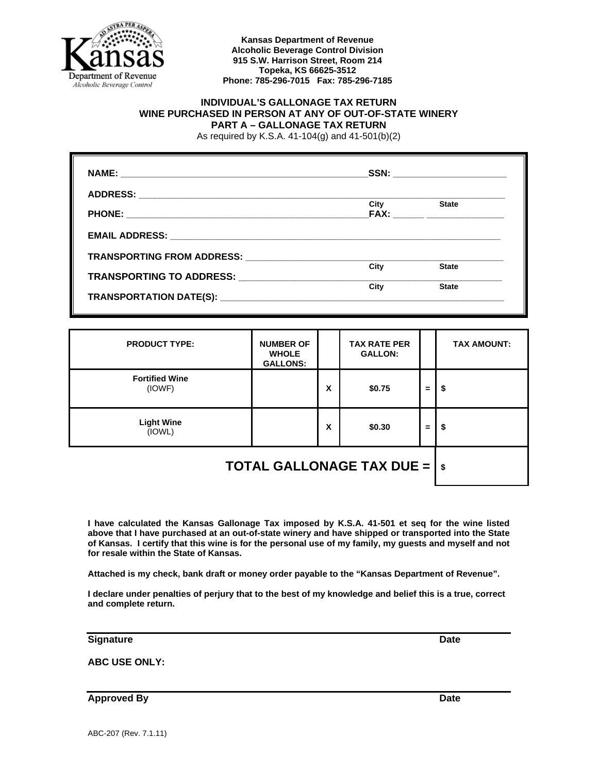

#### **Kansas Department of Revenue Alcoholic Beverage Control Division 915 S.W. Harrison Street, Room 214 Topeka, KS 66625-3512 Phone: 785-296-7015 Fax: 785-296-7185**

# **INDIVIDUAL'S GALLONAGE TAX RETURN WINE PURCHASED IN PERSON AT ANY OF OUT-OF-STATE WINERY PART A – GALLONAGE TAX RETURN**

As required by K.S.A. 41-104(g) and 41-501(b)(2)

|      | SSN: _________________________ |
|------|--------------------------------|
|      |                                |
| City | <b>State</b>                   |
|      |                                |
|      |                                |
| City | <b>State</b>                   |
| City | <b>State</b>                   |

| <b>PRODUCT TYPE:</b>                                       | <b>NUMBER OF</b><br><b>WHOLE</b><br><b>GALLONS:</b> |   | <b>TAX RATE PER</b><br><b>GALLON:</b> |    | <b>TAX AMOUNT:</b> |
|------------------------------------------------------------|-----------------------------------------------------|---|---------------------------------------|----|--------------------|
| <b>Fortified Wine</b><br>(IOWF)                            |                                                     | X | \$0.75                                | =  | \$                 |
| <b>Light Wine</b><br>(IOWL)                                |                                                     | X | \$0.30                                | Ξ. | \$                 |
| <b>TOTAL GALLONAGE TAX DUE = <math>  \text{ }</math> s</b> |                                                     |   |                                       |    |                    |

**I have calculated the Kansas Gallonage Tax imposed by K.S.A. 41-501 et seq for the wine listed above that I have purchased at an out-of-state winery and have shipped or transported into the State of Kansas. I certify that this wine is for the personal use of my family, my guests and myself and not for resale within the State of Kansas.** 

**Attached is my check, bank draft or money order payable to the "Kansas Department of Revenue".** 

**I declare under penalties of perjury that to the best of my knowledge and belief this is a true, correct and complete return.** 

**Signature Date Community Community Community Community Community Community Community Community Community Community** 

**ABC USE ONLY:** 

**Approved By Date 2008 Contract and Approved By Date**